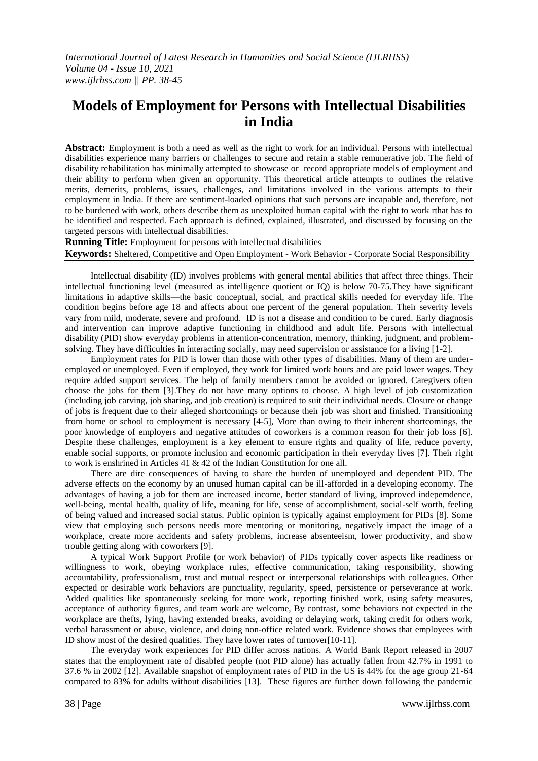# **Models of Employment for Persons with Intellectual Disabilities in India**

**Abstract:** Employment is both a need as well as the right to work for an individual. Persons with intellectual disabilities experience many barriers or challenges to secure and retain a stable remunerative job. The field of disability rehabilitation has minimally attempted to showcase or record appropriate models of employment and their ability to perform when given an opportunity. This theoretical article attempts to outlines the relative merits, demerits, problems, issues, challenges, and limitations involved in the various attempts to their employment in India. If there are sentiment-loaded opinions that such persons are incapable and, therefore, not to be burdened with work, others describe them as unexploited human capital with the right to work rthat has to be identified and respected. Each approach is defined, explained, illustrated, and discussed by focusing on the targeted persons with intellectual disabilities.

**Running Title:** Employment for persons with intellectual disabilities **Keywords:** Sheltered, Competitive and Open Employment - Work Behavior - Corporate Social Responsibility

Intellectual disability (ID) involves problems with general mental abilities that affect three things. Their intellectual functioning level (measured as intelligence quotient or IQ) is below 70-75.They have significant limitations in adaptive skills—the basic conceptual, social, and practical skills needed for everyday life. The condition begins before age 18 and affects about one percent of the general population. Their severity levels vary from mild, moderate, severe and profound. ID is not a disease and condition to be cured. Early diagnosis and intervention can improve adaptive functioning in childhood and adult life. Persons with intellectual disability (PID) show everyday problems in attention-concentration, memory, thinking, judgment, and problemsolving. They have difficulties in interacting socially, may need supervision or assistance for a living [1-2].

Employment rates for PID is lower than those with other types of disabilities. Many of them are underemployed or unemployed. Even if employed, they work for limited work hours and are paid lower wages. They require added support services. The help of family members cannot be avoided or ignored. Caregivers often choose the jobs for them [3].They do not have many options to choose. A high level of job customization (including job carving, job sharing, and job creation) is required to suit their individual needs. Closure or change of jobs is frequent due to their alleged shortcomings or because their job was short and finished. Transitioning from home or school to employment is necessary [4-5], More than owing to their inherent shortcomings, the poor knowledge of employers and negative attitudes of coworkers is a common reason for their job loss [6]. Despite these challenges, employment is a key element to ensure rights and quality of life, reduce poverty, enable social supports, or promote inclusion and economic participation in their everyday lives [7]. Their right to work is enshrined in Articles 41 & 42 of the Indian Constitution for one all.

There are dire consequences of having to share the burden of unemployed and dependent PID. The adverse effects on the economy by an unused human capital can be ill-afforded in a developing economy. The advantages of having a job for them are increased income, better standard of living, improved indepemdence, well-being, mental health, quality of life, meaning for life, sense of accomplishment, social-self worth, feeling of being valued and increased social status. Public opinion is typically against employment for PIDs [8]. Some view that employing such persons needs more mentoring or monitoring, negatively impact the image of a workplace, create more accidents and safety problems, increase absenteeism, lower productivity, and show trouble getting along with coworkers [9].

A typical Work Support Profile (or work behavior) of PIDs typically cover aspects like readiness or willingness to work, obeying workplace rules, effective communication, taking responsibility, showing accountability, professionalism, trust and mutual respect or interpersonal relationships with colleagues. Other expected or desirable work behaviors are punctuality, regularity, speed, persistence or perseverance at work. Added qualities like spontaneously seeking for more work, reporting finished work, using safety measures, acceptance of authority figures, and team work are welcome, By contrast, some behaviors not expected in the workplace are thefts, lying, having extended breaks, avoiding or delaying work, taking credit for others work, verbal harassment or abuse, violence, and doing non-office related work. Evidence shows that employees with ID show most of the desired qualities. They have lower rates of turnover[10-11].

The everyday work experiences for PID differ across nations. A World Bank Report released in 2007 states that the employment rate of disabled people (not PID alone) has actually fallen from 42.7% in 1991 to 37.6 % in 2002 [12]. Available snapshot of employment rates of PID in the US is 44% for the age group 21-64 compared to 83% for adults without disabilities [13]. These figures are further down following the pandemic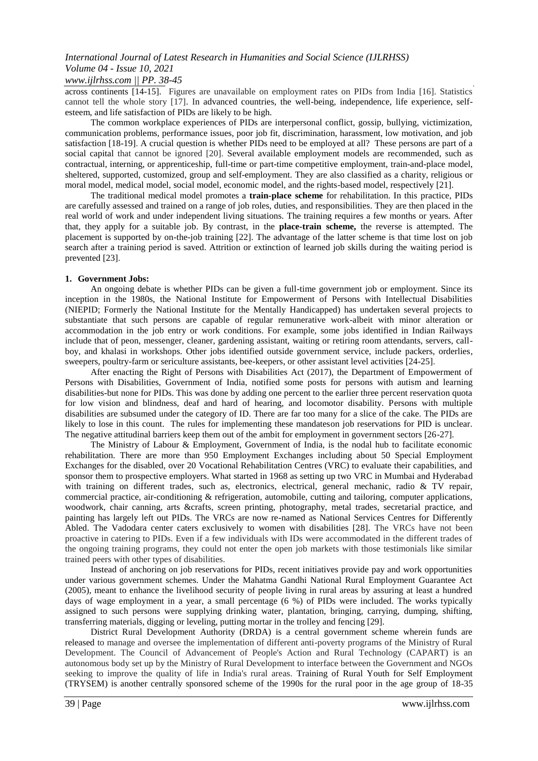### *www.ijlrhss.com || PP. 38-45*

across continents [14-15]. Figures are unavailable on employment rates on PIDs from India [16]. Statistics cannot tell the whole story [17]. In advanced countries, the well-being, independence, life experience, selfesteem, and life satisfaction of PIDs are likely to be high.

The common workplace experiences of PIDs are interpersonal conflict, gossip, bullying, victimization, communication problems, performance issues, poor job fit, discrimination, harassment, low motivation, and job satisfaction [18-19]. A crucial question is whether PIDs need to be employed at all? These persons are part of a social capital that cannot be ignored [20]. Several available employment models are recommended, such as contractual, interning, or apprenticeship, full-time or part-time competitive employment, train-and-place model, sheltered, supported, customized, group and self-employment. They are also classified as a charity, religious or moral model, medical model, social model, economic model, and the rights-based model, respectively [21].

The traditional medical model promotes a **train-place scheme** for rehabilitation. In this practice, PIDs are carefully assessed and trained on a range of job roles, duties, and responsibilities. They are then placed in the real world of work and under independent living situations. The training requires a few months or years. After that, they apply for a suitable job. By contrast, in the **place-train scheme,** the reverse is attempted. The placement is supported by on-the-job training [22]. The advantage of the latter scheme is that time lost on job search after a training period is saved. Attrition or extinction of learned job skills during the waiting period is prevented [23].

#### **1. Government Jobs:**

An ongoing debate is whether PIDs can be given a full-time government job or employment. Since its inception in the 1980s, the National Institute for Empowerment of Persons with Intellectual Disabilities (NIEPID; Formerly the National Institute for the Mentally Handicapped) has undertaken several projects to substantiate that such persons are capable of regular remunerative work-albeit with minor alteration or accommodation in the job entry or work conditions. For example, some jobs identified in Indian Railways include that of peon, messenger, cleaner, gardening assistant, waiting or retiring room attendants, servers, callboy, and khalasi in workshops. Other jobs identified outside government service, include packers, orderlies, sweepers, poultry-farm or sericulture assistants, bee-keepers, or other assistant level activities [24-25].

After enacting the Right of Persons with Disabilities Act (2017), the Department of Empowerment of Persons with Disabilities, Government of India, notified some posts for persons with autism and learning disabilities-but none for PIDs. This was done by adding one percent to the earlier three percent reservation quota for low vision and blindness, deaf and hard of hearing, and locomotor disability. Persons with multiple disabilities are subsumed under the category of ID. There are far too many for a slice of the cake. The PIDs are likely to lose in this count. The rules for implementing these mandateson job reservations for PID is unclear. The negative attitudinal barriers keep them out of the ambit for employment in government sectors [26-27].

The Ministry of Labour & Employment, Government of India, is the nodal hub to facilitate economic rehabilitation. There are more than 950 Employment Exchanges including about 50 Special Employment Exchanges for the disabled, over 20 Vocational Rehabilitation Centres (VRC) to evaluate their capabilities, and sponsor them to prospective employers. What started in 1968 as setting up two VRC in Mumbai and Hyderabad with training on different trades, such as, electronics, electrical, general mechanic, radio & TV repair, commercial practice, air-conditioning & refrigeration, automobile, cutting and tailoring, computer applications, woodwork, chair canning, arts &crafts, screen printing, photography, metal trades, secretarial practice, and painting has largely left out PIDs. The VRCs are now re-named as National Services Centres for Differently Abled. The Vadodara center caters exclusively to women with disabilities [28]. The VRCs have not been proactive in catering to PIDs. Even if a few individuals with IDs were accommodated in the different trades of the ongoing training programs, they could not enter the open job markets with those testimonials like similar trained peers with other types of disabilities.

Instead of anchoring on job reservations for PIDs, recent initiatives provide pay and work opportunities under various government schemes. Under the Mahatma Gandhi National Rural Employment Guarantee Act (2005), meant to enhance the livelihood security of people living in rural areas by assuring at least a hundred days of wage employment in a year, a small percentage (6 %) of PIDs were included. The works typically assigned to such persons were supplying drinking water, plantation, bringing, carrying, dumping, shifting, transferring materials, digging or leveling, putting mortar in the trolley and fencing [29].

District Rural Development Authority (DRDA) is a central government scheme wherein funds are released to manage and oversee the implementation of different anti-poverty programs of the Ministry of Rural Development. The Council of Advancement of People's Action and Rural Technology (CAPART) is an autonomous body set up by the Ministry of Rural Development to interface between the Government and NGOs seeking to improve the quality of life in India's rural areas. Training of Rural Youth for Self Employment (TRYSEM) is another centrally sponsored scheme of the 1990s for the rural poor in the age group of 18-35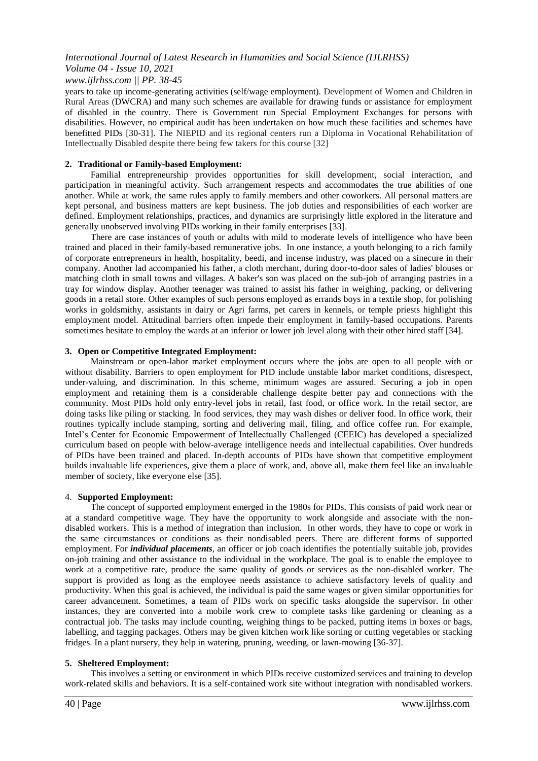### *International Journal of Latest Research in Humanities and Social Science (IJLRHSS) Volume 04 - Issue 10, 2021 www.ijlrhss.com || PP. 38-45*

years to take up income-generating activities (self/wage employment). Development of Women and Children in Rural Areas (DWCRA) and many such schemes are available for drawing funds or assistance for employment of disabled in the country. There is Government run Special Employment Exchanges for persons with disabilities. However, no empirical audit has been undertaken on how much these facilities and schemes have benefitted PIDs [30-31]. The NIEPID and its regional centers run a Diploma in Vocational Rehabilitation of Intellectually Disabled despite there being few takers for this course [32]

#### **2. Traditional or Family-based Employment:**

Familial entrepreneurship provides opportunities for skill development, social interaction, and participation in meaningful activity. Such arrangement respects and accommodates the true abilities of one another. While at work, the same rules apply to family members and other coworkers. All personal matters are kept personal, and business matters are kept business. The job duties and responsibilities of each worker are defined. Employment relationships, practices, and dynamics are surprisingly little explored in the literature and generally unobserved involving PIDs working in their family enterprises [33].

There are case instances of youth or adults with mild to moderate levels of intelligence who have been trained and placed in their family-based remunerative jobs. In one instance, a youth belonging to a rich family of corporate entrepreneurs in health, hospitality, beedi, and incense industry, was placed on a sinecure in their company. Another lad accompanied his father, a cloth merchant, during door-to-door sales of ladies' blouses or matching cloth in small towns and villages. A baker's son was placed on the sub-job of arranging pastries in a tray for window display. Another teenager was trained to assist his father in weighing, packing, or delivering goods in a retail store. Other examples of such persons employed as errands boys in a textile shop, for polishing works in goldsmithy, assistants in dairy or Agri farms, pet carers in kennels, or temple priests highlight this employment model. Attitudinal barriers often impede their employment in family-based occupations. Parents sometimes hesitate to employ the wards at an inferior or lower job level along with their other hired staff [34].

#### **3. Open or Competitive Integrated Employment:**

Mainstream or open-labor market employment occurs where the jobs are open to all people with or without disability. Barriers to open employment for PID include unstable labor market conditions, disrespect, under-valuing, and discrimination. In this scheme, minimum wages are assured. Securing a job in open employment and retaining them is a considerable challenge despite better pay and connections with the community. Most PIDs hold only entry-level jobs in retail, fast food, or office work. In the retail sector, are doing tasks like piling or stacking. In food services, they may wash dishes or deliver food. In office work, their routines typically include stamping, sorting and delivering mail, filing, and office coffee run. For example, Intel's Center for Economic Empowerment of Intellectually Challenged (CEEIC) has developed a specialized curriculum based on people with below-average intelligence needs and intellectual capabilities. Over hundreds of PIDs have been trained and placed. In-depth accounts of PIDs have shown that competitive employment builds invaluable life experiences, give them a place of work, and, above all, make them feel like an invaluable member of society, like everyone else [35].

#### 4. **Supported Employment:**

The concept of supported employment emerged in the 1980s for PIDs. This consists of paid work near or at a standard competitive wage. They have the opportunity to work alongside and associate with the nondisabled workers. This is a method of integration than inclusion. In other words, they have to cope or work in the same circumstances or conditions as their nondisabled peers. There are different forms of supported employment. For *individual placements*, an officer or job coach identifies the potentially suitable job, provides on-job training and other assistance to the individual in the workplace. The goal is to enable the employee to work at a competitive rate, produce the same quality of goods or services as the non-disabled worker. The support is provided as long as the employee needs assistance to achieve satisfactory levels of quality and productivity. When this goal is achieved, the individual is paid the same wages or given similar opportunities for career advancement. Sometimes, a team of PIDs work on specific tasks alongside the supervisor. In other instances, they are converted into a mobile work crew to complete tasks like gardening or cleaning as a contractual job. The tasks may include counting, weighing things to be packed, putting items in boxes or bags, labelling, and tagging packages. Others may be given kitchen work like sorting or cutting vegetables or stacking fridges. In a plant nursery, they help in watering, pruning, weeding, or lawn-mowing [36-37].

#### **5. Sheltered Employment:**

This involves a setting or environment in which PIDs receive customized services and training to develop work-related skills and behaviors. It is a self-contained work site without integration with nondisabled workers.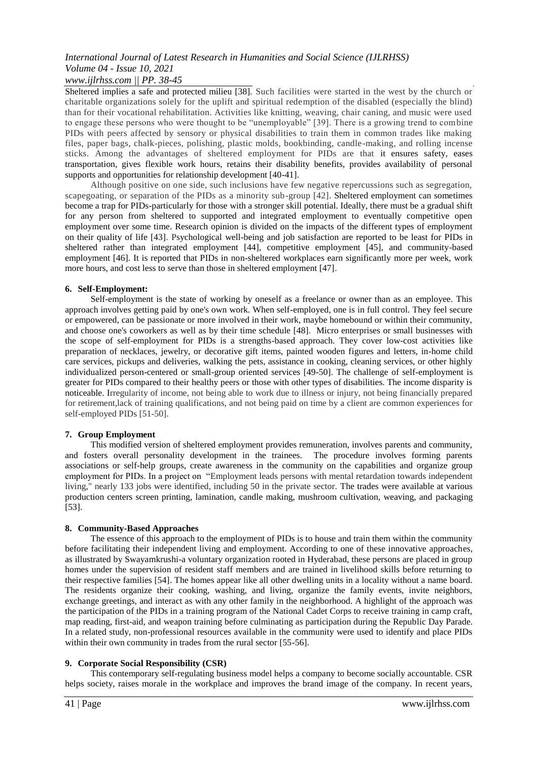### *www.ijlrhss.com || PP. 38-45*

Sheltered implies a safe and protected milieu [38]. Such facilities were started in the west by the church or charitable organizations solely for the uplift and spiritual redemption of the disabled (especially the blind) than for their vocational rehabilitation. Activities like knitting, weaving, chair caning, and music were used to engage these persons who were thought to be "unemployable" [39]. There is a growing trend to combine PIDs with peers affected by sensory or physical disabilities to train them in common trades like making files, paper bags, chalk-pieces, polishing, plastic molds, bookbinding, candle-making, and rolling incense sticks. Among the advantages of sheltered employment for PIDs are that it ensures safety, eases transportation, gives flexible work hours, retains their disability benefits, provides availability of personal supports and opportunities for relationship development [40-41].

Although positive on one side, such inclusions have few negative repercussions such as segregation, scapegoating, or separation of the PIDs as a minority sub-group [42]. Sheltered employment can sometimes become a trap for PIDs-particularly for those with a stronger skill potential. Ideally, there must be a gradual shift for any person from sheltered to supported and integrated employment to eventually competitive open employment over some time. Research opinion is divided on the impacts of the different types of employment on their quality of life [43]. Psychological well-being and job satisfaction are reported to be least for PIDs in sheltered rather than integrated employment [44], competitive employment [45], and community-based employment [46]. It is reported that PIDs in non-sheltered workplaces earn significantly more per week, work more hours, and cost less to serve than those in sheltered employment [47].

#### **6. Self-Employment:**

Self-employment is the state of working by oneself as a freelance or owner than as an employee. This approach involves getting paid by one's own work. When self-employed, one is in full control. They feel secure or empowered, can be passionate or more involved in their work, maybe homebound or within their community, and choose one's coworkers as well as by their time schedule [48]. Micro enterprises or small businesses with the scope of self-employment for PIDs is a strengths-based approach. They cover low-cost activities like preparation of necklaces, jewelry, or decorative gift items, painted wooden figures and letters, in-home child care services, pickups and deliveries, walking the pets, assistance in cooking, cleaning services, or other highly individualized person-centered or small-group oriented services [49-50]. The challenge of self-employment is greater for PIDs compared to their healthy peers or those with other types of disabilities. The income disparity is noticeable. Irregularity of income, not being able to work due to illness or injury, not being financially prepared for retirement,lack of training qualifications, and not being paid on time by a client are common experiences for self-employed PIDs [51-50].

#### **7. Group Employment**

This modified version of sheltered employment provides remuneration, involves parents and community, and fosters overall personality development in the trainees. The procedure involves forming parents associations or self-help groups, create awareness in the community on the capabilities and organize group employment for PIDs. In a project on "Employment leads persons with mental retardation towards independent living," nearly 133 jobs were identified, including 50 in the private sector. The trades were available at various production centers screen printing, lamination, candle making, mushroom cultivation, weaving, and packaging [53].

### **8. Community-Based Approaches**

The essence of this approach to the employment of PIDs is to house and train them within the community before facilitating their independent living and employment. According to one of these innovative approaches, as illustrated by Swayamkrushi-a voluntary organization rooted in Hyderabad, these persons are placed in group homes under the supervision of resident staff members and are trained in livelihood skills before returning to their respective families [54]. The homes appear like all other dwelling units in a locality without a name board. The residents organize their cooking, washing, and living, organize the family events, invite neighbors, exchange greetings, and interact as with any other family in the neighborhood. A highlight of the approach was the participation of the PIDs in a training program of the National Cadet Corps to receive training in camp craft, map reading, first-aid, and weapon training before culminating as participation during the Republic Day Parade. In a related study, non-professional resources available in the community were used to identify and place PIDs within their own community in trades from the rural sector [55-56].

#### **9. Corporate Social Responsibility (CSR)**

This contemporary self-regulating business model helps a company to become socially accountable. CSR helps society, raises morale in the workplace and improves the brand image of the company. In recent years,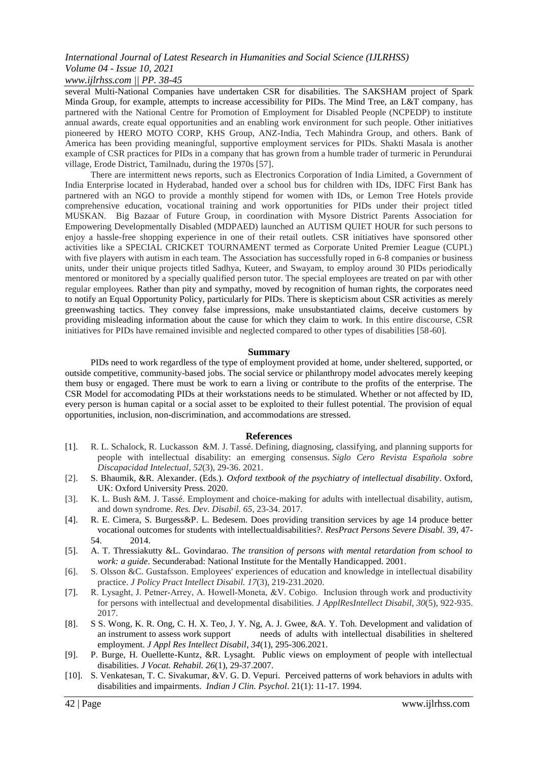## *www.ijlrhss.com || PP. 38-45*

several Multi-National Companies have undertaken CSR for disabilities. The SAKSHAM project of Spark Minda Group, for example, attempts to increase accessibility for PIDs. The Mind Tree, an L&T company, has partnered with the National Centre for Promotion of Employment for Disabled People (NCPEDP) to institute annual awards, create equal opportunities and an enabling work environment for such people. Other initiatives pioneered by HERO MOTO CORP, KHS Group, ANZ-India, Tech Mahindra Group, and others. Bank of America has been providing meaningful, supportive employment services for PIDs. Shakti Masala is another example of CSR practices for PIDs in a company that has grown from a humble trader of turmeric in Perundurai village, Erode District, Tamilnadu, during the 1970s [57].

There are intermittent news reports, such as Electronics Corporation of India Limited, a Government of India Enterprise located in Hyderabad, handed over a school bus for children with IDs, IDFC First Bank has partnered with an NGO to provide a monthly stipend for women with IDs, or Lemon Tree Hotels provide comprehensive education, vocational training and work opportunities for PIDs under their project titled MUSKAN. Big Bazaar of Future Group, in coordination with Mysore District Parents Association for Empowering Developmentally Disabled (MDPAED) launched an AUTISM QUIET HOUR for such persons to enjoy a hassle-free shopping experience in one of their retail outlets. CSR initiatives have sponsored other activities like a SPECIAL CRICKET TOURNAMENT termed as Corporate United Premier League (CUPL) with five players with autism in each team. The Association has successfully roped in 6-8 companies or business units, under their unique projects titled Sadhya, Kuteer, and Swayam, to employ around 30 PIDs periodically mentored or monitored by a specially qualified person tutor. The special employees are treated on par with other regular employees. Rather than pity and sympathy, moved by recognition of human rights, the corporates need to notify an Equal Opportunity Policy, particularly for PIDs. There is skepticism about CSR activities as merely greenwashing tactics. They convey false impressions, make unsubstantiated claims, deceive customers by providing misleading information about the cause for which they claim to work. In this entire discourse, CSR initiatives for PIDs have remained invisible and neglected compared to other types of disabilities [58-60].

#### **Summary**

PIDs need to work regardless of the type of employment provided at home, under sheltered, supported, or outside competitive, community-based jobs. The social service or philanthropy model advocates merely keeping them busy or engaged. There must be work to earn a living or contribute to the profits of the enterprise. The CSR Model for accomodating PIDs at their workstations needs to be stimulated. Whether or not affected by ID, every person is human capital or a social asset to be exploited to their fullest potential. The provision of equal opportunities, inclusion, non-discrimination, and accommodations are stressed.

#### **References**

- [1]. R. L. Schalock, R. Luckasson &M. J. Tassé. Defining, diagnosing, classifying, and planning supports for people with intellectual disability: an emerging consensus. *Siglo Cero Revista Española sobre Discapacidad Intelectual*, *52*(3), 29-36. 2021.
- [2]. S. Bhaumik, &R. Alexander. (Eds.). *Oxford textbook of the psychiatry of intellectual disability*. Oxford, UK: Oxford University Press. 2020.
- [3]. K. L. Bush &M. J. Tassé. Employment and choice-making for adults with intellectual disability, autism, and down syndrome. *Res. Dev. Disabil. 65*, 23-34. 2017.
- [4]. R. E. Cimera, S. Burgess&P. L. Bedesem. Does providing transition services by age 14 produce better vocational outcomes for students with intellectualdisabilities?. *ResPract Persons Severe Disabl.* 39, 47- 54. 2014.
- [5]. A. T. Thressiakutty &L. Govindarao. *The transition of persons with mental retardation from school to work: a guide*. Secunderabad: National Institute for the Mentally Handicapped. 2001.
- [6]. S. Olsson &C. Gustafsson. Employees' experiences of education and knowledge in intellectual disability practice. *J Policy Pract Intellect Disabil. 17*(3), 219-231.2020.
- [7]. R. Lysaght, J. Petner-Arrey, A. Howell-Moneta, &V. Cobigo. Inclusion through work and productivity for persons with intellectual and developmental disabilities. *J ApplResIntellect Disabil*, *30*(5), 922-935. 2017.
- [8]. S S. Wong, K. R. Ong, C. H. X. Teo, J. Y. Ng, A. J. Gwee, &A. Y. Toh. Development and validation of an instrument to assess work support needs of adults with intellectual disabilities in sheltered employment. *J Appl Res Intellect Disabil*, *34*(1), 295-306.2021.
- [9]. P. Burge, H. Ouellette-Kuntz, &R. Lysaght. Public views on employment of people with intellectual disabilities. *J Vocat. Rehabil. 26*(1), 29-37.2007.
- [10]. S. Venkatesan, T. C. Sivakumar, &V. G. D. Vepuri. Perceived patterns of work behaviors in adults with disabilities and impairments. *Indian J Clin. Psychol*. 21(1): 11-17. 1994.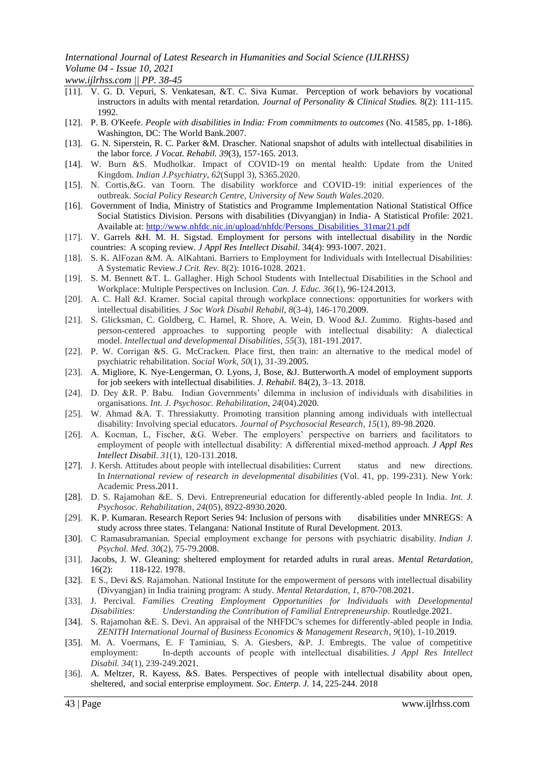*www.ijlrhss.com || PP. 38-45*

- [11]. V. G. D. Vepuri, S. Venkatesan, &T. C. Siva Kumar. Perception of work behaviors by vocational instructors in adults with mental retardation. *Journal of Personality & Clinical Studies.* 8(2): 111-115. 1992.
- [12]. P. B. O'Keefe. *People with disabilities in India: From commitments to outcomes* (No. 41585, pp. 1-186). Washington, DC: The World Bank.2007.
- [13]. G. N. Siperstein, R. C. Parker &M. Drascher. National snapshot of adults with intellectual disabilities in the labor force. *J Vocat. Rehabil. 39*(3), 157-165. 2013.
- [14]. W. Burn &S. Mudholkar. Impact of COVID-19 on mental health: Update from the United Kingdom. *Indian J.Psychiatry*, *62*(Suppl 3), S365.2020.
- [15]. N. Cortis,&G. van Toorn. The disability workforce and COVID-19: initial experiences of the outbreak. *Social Policy Research Centre, University of New South Wales*.2020.
- [16]. Government of India, Ministry of Statistics and Programme Implementation National Statistical Office Social Statistics Division. Persons with disabilities (Divyangjan) in India- A Statistical Profile: 2021. Available at: [http://www.nhfdc.nic.in/upload/nhfdc/Persons\\_Disabilities\\_31mar21.pdf](http://www.nhfdc.nic.in/upload/nhfdc/Persons_Disabilities_31mar21.pdf)
- [17]. V. Garrels &H. M. H. Sigstad. Employment for persons with intellectual disability in the Nordic countries: A scoping review. *J Appl Res Intellect Disabil*. 34(4): 993-1007. 2021.
- [18]. S. K. AlFozan &M. A. AlKahtani. Barriers to Employment for Individuals with Intellectual Disabilities: A Systematic Review.*J Crit. Rev.* 8(2): 1016-1028. 2021.
- [19]. S. M. Bennett &T. L. Gallagher. High School Students with Intellectual Disabilities in the School and Workplace: Multiple Perspectives on Inclusion. *Can. J. Educ. 36*(1), 96-124.2013.
- [20]. A. C. Hall &J. Kramer. Social capital through workplace connections: opportunities for workers with intellectual disabilities. *J Soc Work Disabil Rehabil*, *8*(3-4), 146-170.2009.
- [21]. S. Glicksman, C. Goldberg, C. Hamel, R. Shore, A. Wein, D. Wood &J. Zummo. Rights-based and person-centered approaches to supporting people with intellectual disability: A dialectical model. *Intellectual and developmental Disabilities*, *55*(3), 181-191.2017.
- [22]. P. W. Corrigan &S. G. McCracken. Place first, then train: an alternative to the medical model of psychiatric rehabilitation. *Social Work*, *50*(1), 31-39.2005.
- [23]. A. Migliore, K. Nye-Lengerman, O. Lyons, J, Bose, &J. Butterworth.A model of employment supports for job seekers with intellectual disabilities. *J. Rehabil.* 84(2), 3–13. 2018.
- [24]. D. Dey &R. P. Babu. Indian Governments' dilemma in inclusion of individuals with disabilities in organisations. *Int. J. Psychosoc. Rehabilitation*, *24*(04).2020.
- [25]. W. Ahmad &A. T. Thressiakutty. Promoting transition planning among individuals with intellectual disability: Involving special educators. *Journal of Psychosocial Research*, *15*(1), 89-98.2020.
- [26]. A. Kocman, L, Fischer, &G. Weber. The employers' perspective on barriers and facilitators to employment of people with intellectual disability: A differential mixed-method approach. *J Appl Res Intellect Disabil*. *31*(1), 120-131.2018.
- [27]. J. Kersh. Attitudes about people with intellectual disabilities: Current status and new directions. In *International review of research in developmental disabilities* (Vol. 41, pp. 199-231). New York: Academic Press.2011.
- [28]. D. S. Rajamohan &E. S. Devi. Entrepreneurial education for differently-abled people In India. *Int. J. Psychosoc. Rehabilitation*, *24*(05), 8922-8930.2020.
- [29]. K. P. Kumaran. Research Report Series 94: Inclusion of persons with disabilities under MNREGS: A study across three states. Telangana: National Institute of Rural Development. 2013.
- [30]. C Ramasubramanian. Special employment exchange for persons with psychiatric disability. *Indian J. Psychol. Med. 30*(2), 75-79.2008.
- [31]. Jacobs, J. W. Gleaning: sheltered employment for retarded adults in rural areas. *Mental Retardation*, 16(2): 118-122. 1978.
- [32]. E S., Devi &S. Rajamohan. National Institute for the empowerment of persons with intellectual disability (Divyangjan) in India training program: A study. *Mental Retardation*, *1*, 870-708.2021.
- [33]. J. Percival. *Families Creating Employment Opportunities for Individuals with Developmental Disabilities: Understanding the Contribution of Familial Entrepreneurship*. Routledge.2021.
- [34]. S. Rajamohan &E. S. Devi. An appraisal of the NHFDC's schemes for differently-abled people in India. *ZENITH International Journal of Business Economics & Management Research*, *9*(10), 1-10.2019.
- [35]. M. A. Voermans, E. F Taminiau, S. A. Giesbers, &P. J. Embregts. The value of competitive employment: In‐depth accounts of people with intellectual disabilities. *J Appl Res Intellect Disabil. 34*(1), 239-249.2021.
- [36]. A. Meltzer, R. Kayess, &S. Bates. Perspectives of people with intellectual disability about open, sheltered, and social enterprise employment. *Soc. Enterp. J.* 14, 225-244. 2018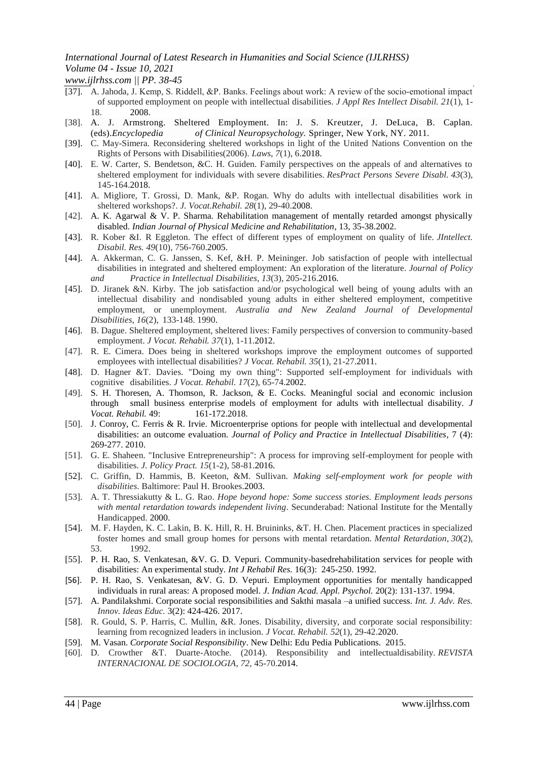*www.ijlrhss.com || PP. 38-45*

- [37]. A. Jahoda, J. Kemp, S. Riddell, &P. Banks. Feelings about work: A review of the socio‐emotional impact of supported employment on people with intellectual disabilities. *J Appl Res Intellect Disabil. 21*(1), 1- 18. 2008.
- [38]. A. J. Armstrong. Sheltered Employment. In: J. S. Kreutzer, J. DeLuca, B. Caplan. (eds).*Encyclopedia of Clinical Neuropsychology.* Springer, New York, NY. 2011.
- [39]. C. May-Simera. Reconsidering sheltered workshops in light of the United Nations Convention on the Rights of Persons with Disabilities(2006). *Laws*, *7*(1), 6.2018.
- [40]. E. W. Carter, S. Bendetson, &C. H. Guiden. Family perspectives on the appeals of and alternatives to sheltered employment for individuals with severe disabilities. *ResPract Persons Severe Disabl. 43*(3), 145-164.2018.
- [41]. A. Migliore, T. Grossi, D. Mank, &P. Rogan. Why do adults with intellectual disabilities work in sheltered workshops?. *J. Vocat.Rehabil. 28*(1), 29-40.2008.
- [42]. A. K. Agarwal & V. P. Sharma. Rehabilitation management of mentally retarded amongst physically disabled. *Indian Journal of Physical Medicine and Rehabilitation*, 13, 35-38.2002.
- [43]. R. Kober &I. R Eggleton. The effect of different types of employment on quality of life. *JIntellect. Disabil. Res. 49*(10), 756-760.2005.
- [44]. A. Akkerman, C. G. Janssen, S. Kef, &H. P. Meininger. Job satisfaction of people with intellectual disabilities in integrated and sheltered employment: An exploration of the literature. *Journal of Policy and Practice in Intellectual Disabilities*, *13*(3), 205-216.2016.
- [45]. D. Jiranek &N. Kirby. The job satisfaction and/or psychological well being of young adults with an intellectual disability and nondisabled young adults in either sheltered employment, competitive employment, or unemployment. *Australia and New Zealand Journal of Developmental Disabilities*, *16*(2), 133-148. 1990.
- [46]. B. Dague. Sheltered employment, sheltered lives: Family perspectives of conversion to community-based employment. *J Vocat. Rehabil. 37*(1), 1-11.2012.
- [47]. R. E. Cimera. Does being in sheltered workshops improve the employment outcomes of supported employees with intellectual disabilities? *J Vocat. Rehabil. 35*(1), 21-27.2011.
- [48]. D. Hagner &T. Davies. "Doing my own thing": Supported self-employment for individuals with cognitive disabilities. *J Vocat. Rehabil. 17*(2), 65-74.2002.
- [49]. S. H. Thoresen, A. Thomson, R. Jackson, & E. Cocks. Meaningful social and economic inclusion through small business enterprise models of employment for adults with intellectual disability. *J Vocat. Rehabil.* 49: 161-172.2018.
- [50]. J. Conroy, C. Ferris & R. Irvie. Microenterprise options for people with intellectual and developmental disabilities: an outcome evaluation. *Journal of Policy and Practice in Intellectual Disabilities*, 7 (4): 269-277. 2010.
- [51]. G. E. Shaheen. "Inclusive Entrepreneurship": A process for improving self-employment for people with disabilities. *J. Policy Pract. 15*(1-2), 58-81.2016.
- [52]. C. Griffin, D. Hammis, B. Keeton, &M. Sullivan. *Making self-employment work for people with disabilities*. Baltimore: Paul H. Brookes.2003.
- [53]. A. T. Thressiakutty & L. G. Rao. *Hope beyond hope: Some success stories. Employment leads persons with mental retardation towards independent living*. Secunderabad: National Institute for the Mentally Handicapped. 2000.
- [54]. M. F. Hayden, K. C. Lakin, B. K. Hill, R. H. Bruininks, &T. H. Chen. Placement practices in specialized foster homes and small group homes for persons with mental retardation. *Mental Retardation*, *30*(2), 53. 1992.
- [55]. P. H. Rao, S. Venkatesan, &V. G. D. Vepuri. Community-basedrehabilitation services for people with disabilities: An experimental study. *Int J Rehabil Res.* 16(3): 245-250. 1992.
- [56]. P. H. Rao, S. Venkatesan, &V. G. D. Vepuri. Employment opportunities for mentally handicapped individuals in rural areas: A proposed model. *J. Indian Acad. Appl. Psychol.* 20(2): 131-137. 1994.
- [57]. A. Pandilakshmi. Corporate social responsibilities and Sakthi masala –a unified success. *Int. J. Adv. Res. Innov. Ideas Educ.* 3(2): 424-426. 2017.
- [58]. R. Gould, S. P. Harris, C. Mullin, &R. Jones. Disability, diversity, and corporate social responsibility: learning from recognized leaders in inclusion. *J Vocat. Rehabil. 52*(1), 29-42.2020.
- [59]. M. Vasan. *Corporate Social Responsibility*. New Delhi: Edu Pedia Publications. 2015.
- [60]. D. Crowther &T. Duarte-Atoche. (2014). Responsibility and intellectualdisability. *REVISTA INTERNACIONAL DE SOCIOLOGIA*, *72*, 45-70.2014.